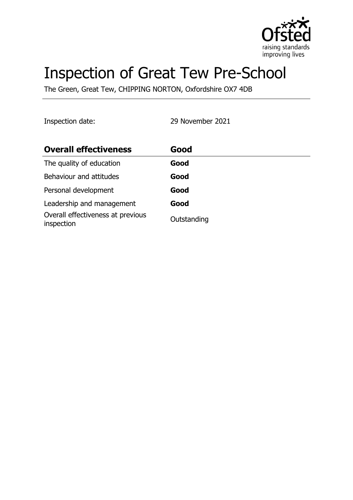

# Inspection of Great Tew Pre-School

The Green, Great Tew, CHIPPING NORTON, Oxfordshire OX7 4DB

Inspection date: 29 November 2021

| <b>Overall effectiveness</b>                    | Good        |
|-------------------------------------------------|-------------|
| The quality of education                        | Good        |
| Behaviour and attitudes                         | Good        |
| Personal development                            | Good        |
| Leadership and management                       | Good        |
| Overall effectiveness at previous<br>inspection | Outstanding |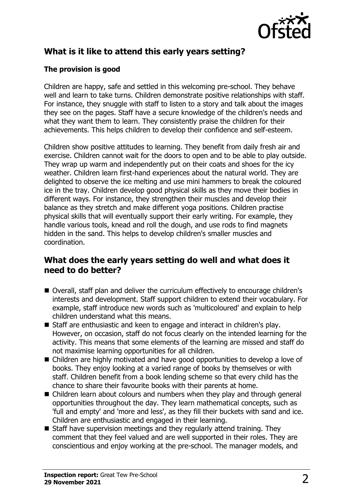

## **What is it like to attend this early years setting?**

#### **The provision is good**

Children are happy, safe and settled in this welcoming pre-school. They behave well and learn to take turns. Children demonstrate positive relationships with staff. For instance, they snuggle with staff to listen to a story and talk about the images they see on the pages. Staff have a secure knowledge of the children's needs and what they want them to learn. They consistently praise the children for their achievements. This helps children to develop their confidence and self-esteem.

Children show positive attitudes to learning. They benefit from daily fresh air and exercise. Children cannot wait for the doors to open and to be able to play outside. They wrap up warm and independently put on their coats and shoes for the icy weather. Children learn first-hand experiences about the natural world. They are delighted to observe the ice melting and use mini hammers to break the coloured ice in the tray. Children develop good physical skills as they move their bodies in different ways. For instance, they strengthen their muscles and develop their balance as they stretch and make different yoga positions. Children practise physical skills that will eventually support their early writing. For example, they handle various tools, knead and roll the dough, and use rods to find magnets hidden in the sand. This helps to develop children's smaller muscles and coordination.

#### **What does the early years setting do well and what does it need to do better?**

- Overall, staff plan and deliver the curriculum effectively to encourage children's interests and development. Staff support children to extend their vocabulary. For example, staff introduce new words such as 'multicoloured' and explain to help children understand what this means.
- Staff are enthusiastic and keen to engage and interact in children's play. However, on occasion, staff do not focus clearly on the intended learning for the activity. This means that some elements of the learning are missed and staff do not maximise learning opportunities for all children.
- Children are highly motivated and have good opportunities to develop a love of books. They enjoy looking at a varied range of books by themselves or with staff. Children benefit from a book lending scheme so that every child has the chance to share their favourite books with their parents at home.
- $\blacksquare$  Children learn about colours and numbers when they play and through general opportunities throughout the day. They learn mathematical concepts, such as 'full and empty' and 'more and less', as they fill their buckets with sand and ice. Children are enthusiastic and engaged in their learning.
- $\blacksquare$  Staff have supervision meetings and they regularly attend training. They comment that they feel valued and are well supported in their roles. They are conscientious and enjoy working at the pre-school. The manager models, and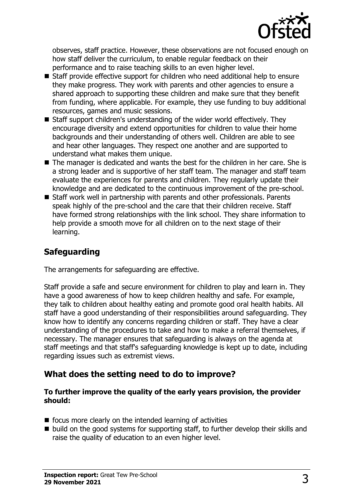

observes, staff practice. However, these observations are not focused enough on how staff deliver the curriculum, to enable regular feedback on their performance and to raise teaching skills to an even higher level.

- $\blacksquare$  Staff provide effective support for children who need additional help to ensure they make progress. They work with parents and other agencies to ensure a shared approach to supporting these children and make sure that they benefit from funding, where applicable. For example, they use funding to buy additional resources, games and music sessions.
- $\blacksquare$  Staff support children's understanding of the wider world effectively. They encourage diversity and extend opportunities for children to value their home backgrounds and their understanding of others well. Children are able to see and hear other languages. They respect one another and are supported to understand what makes them unique.
- $\blacksquare$  The manager is dedicated and wants the best for the children in her care. She is a strong leader and is supportive of her staff team. The manager and staff team evaluate the experiences for parents and children. They regularly update their knowledge and are dedicated to the continuous improvement of the pre-school.
- Staff work well in partnership with parents and other professionals. Parents speak highly of the pre-school and the care that their children receive. Staff have formed strong relationships with the link school. They share information to help provide a smooth move for all children on to the next stage of their learning.

## **Safeguarding**

The arrangements for safeguarding are effective.

Staff provide a safe and secure environment for children to play and learn in. They have a good awareness of how to keep children healthy and safe. For example, they talk to children about healthy eating and promote good oral health habits. All staff have a good understanding of their responsibilities around safeguarding. They know how to identify any concerns regarding children or staff. They have a clear understanding of the procedures to take and how to make a referral themselves, if necessary. The manager ensures that safeguarding is always on the agenda at staff meetings and that staff's safeguarding knowledge is kept up to date, including regarding issues such as extremist views.

#### **What does the setting need to do to improve?**

#### **To further improve the quality of the early years provision, the provider should:**

- $\blacksquare$  focus more clearly on the intended learning of activities
- $\blacksquare$  build on the good systems for supporting staff, to further develop their skills and raise the quality of education to an even higher level.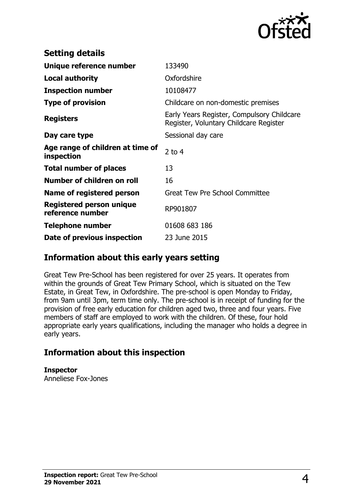

| <b>Setting details</b>                         |                                                                                      |
|------------------------------------------------|--------------------------------------------------------------------------------------|
| Unique reference number                        | 133490                                                                               |
| <b>Local authority</b>                         | Oxfordshire                                                                          |
| <b>Inspection number</b>                       | 10108477                                                                             |
| <b>Type of provision</b>                       | Childcare on non-domestic premises                                                   |
| <b>Registers</b>                               | Early Years Register, Compulsory Childcare<br>Register, Voluntary Childcare Register |
| Day care type                                  | Sessional day care                                                                   |
| Age range of children at time of<br>inspection | 2 to $4$                                                                             |
| <b>Total number of places</b>                  | 13                                                                                   |
| Number of children on roll                     | 16                                                                                   |
| Name of registered person                      | <b>Great Tew Pre School Committee</b>                                                |
| Registered person unique<br>reference number   | RP901807                                                                             |
| Telephone number                               | 01608 683 186                                                                        |
| Date of previous inspection                    | 23 June 2015                                                                         |

### **Information about this early years setting**

Great Tew Pre-School has been registered for over 25 years. It operates from within the grounds of Great Tew Primary School, which is situated on the Tew Estate, in Great Tew, in Oxfordshire. The pre-school is open Monday to Friday, from 9am until 3pm, term time only. The pre-school is in receipt of funding for the provision of free early education for children aged two, three and four years. Five members of staff are employed to work with the children. Of these, four hold appropriate early years qualifications, including the manager who holds a degree in early years.

## **Information about this inspection**

**Inspector** Anneliese Fox-Jones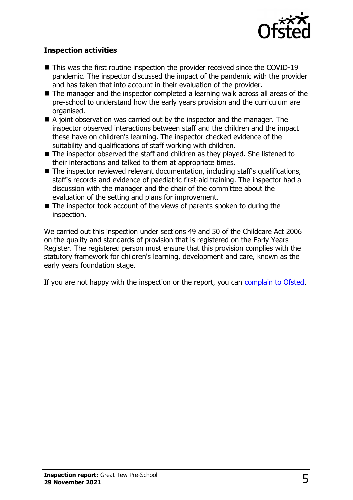

#### **Inspection activities**

- $\blacksquare$  This was the first routine inspection the provider received since the COVID-19 pandemic. The inspector discussed the impact of the pandemic with the provider and has taken that into account in their evaluation of the provider.
- $\blacksquare$  The manager and the inspector completed a learning walk across all areas of the pre-school to understand how the early years provision and the curriculum are organised.
- $\blacksquare$  A joint observation was carried out by the inspector and the manager. The inspector observed interactions between staff and the children and the impact these have on children's learning. The inspector checked evidence of the suitability and qualifications of staff working with children.
- $\blacksquare$  The inspector observed the staff and children as they played. She listened to their interactions and talked to them at appropriate times.
- $\blacksquare$  The inspector reviewed relevant documentation, including staff's qualifications, staff's records and evidence of paediatric first-aid training. The inspector had a discussion with the manager and the chair of the committee about the evaluation of the setting and plans for improvement.
- $\blacksquare$  The inspector took account of the views of parents spoken to during the inspection.

We carried out this inspection under sections 49 and 50 of the Childcare Act 2006 on the quality and standards of provision that is registered on the Early Years Register. The registered person must ensure that this provision complies with the statutory framework for children's learning, development and care, known as the early years foundation stage.

If you are not happy with the inspection or the report, you can [complain to Ofsted](http://www.gov.uk/complain-ofsted-report).